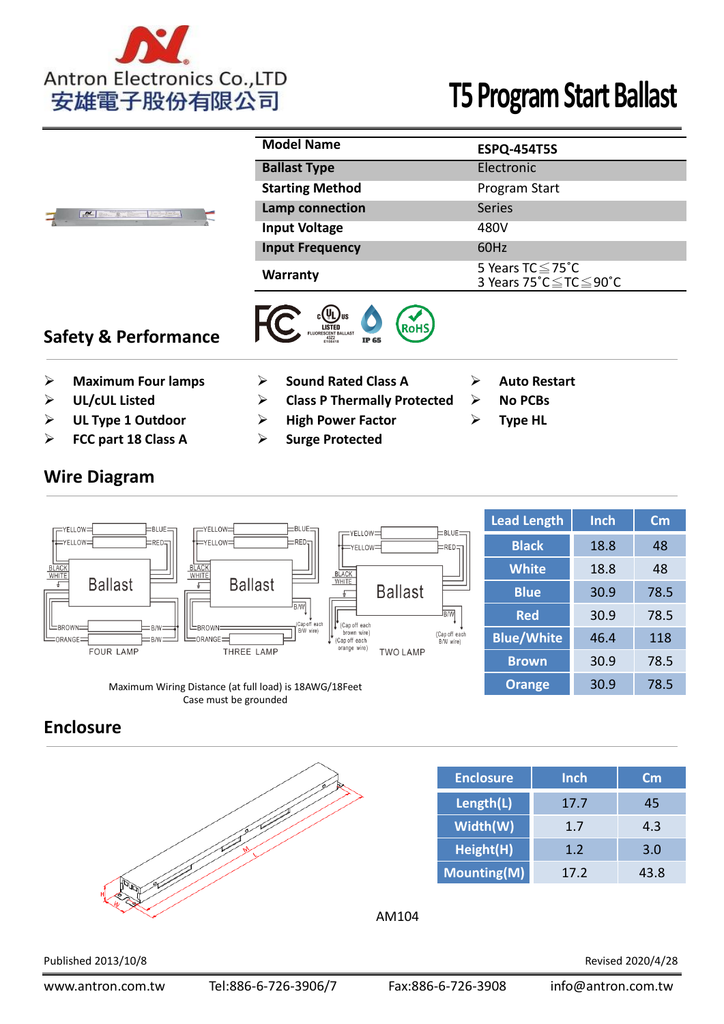

| $\frac{M}{2}$ | <b>Model Name</b>      | <b>ESPQ-454T5S</b>                            |
|---------------|------------------------|-----------------------------------------------|
|               | <b>Ballast Type</b>    | Electronic                                    |
|               | <b>Starting Method</b> | Program Start                                 |
|               | Lamp connection        | <b>Series</b>                                 |
|               | <b>Input Voltage</b>   | 480V                                          |
|               | <b>Input Frequency</b> | 60Hz                                          |
|               | <b>Warranty</b>        | 5 Years TC ≤ 75°C<br>3 Years 75°C ≤ TC ≤ 90°C |

# **Safety & Performance**



- **Example 3 Maximum Four lamps by Sound Rated Class A Auto Restart**
- 

**Wire Diagram**

- 
- **FCC part 18 Class A Surge Protected**

- **Example 2 UL/cUL Listed Class P Thermally Protected Also No PCBs**
- **Example 1 Outdoor COM EXAMP FACTION EXAMPLE EXAMPLE FOR TYPE HL** 
	-
- 
- 
- 

| $\pm$ BLUE $\pm$<br>$=$ YELLOW $=$<br>r≡YELLOW∃<br>$E$ BLUE $=$                                                                                      | Lead Length       | Inch | $\mathsf{cm}$ |
|------------------------------------------------------------------------------------------------------------------------------------------------------|-------------------|------|---------------|
| — YELLOW∃<br>$E$ BLUE $=$<br>$\equiv$ RED $\equiv$ I<br>† FYELLOW<br>⊨RED⊣<br>†⊨YELLOW=I<br>$ERED=1$<br>†≕YELLOW⊐                                    | <b>Black</b>      | 18.8 | 48            |
| $\frac{\frac{\text{BLACK}}{\text{WHITE}}}{\sqrt{2}}$<br><b>BLACK</b><br>WHITE<br><b>BLACK</b><br>WHITE                                               | <b>White</b>      | 18.8 | 48            |
| <b>Ballast</b><br><b>Ballast</b><br><b>Ballast</b>                                                                                                   | <b>Blue</b>       | 30.9 | 78.5          |
| <b>B/W</b><br>R/W<br>(Cap off each<br>(Cap off each<br>上BROWN=<br>$=$ B/W $=$ $\overline{\phantom{1}}$<br>上BROWN:                                    | <b>Red</b>        | 30.9 | 78.5          |
| B/W wire)<br>brown wire)<br>(Cap off each<br>$=$ ORANGE $=$<br>$\equiv$ orange $\equiv$<br>$=$ B/W $=$<br>(Cap off each<br>B/W wire)<br>orange wire) | <b>Blue/White</b> | 46.4 | 118           |
| <b>FOUR LAMP</b><br>THREE LAMP<br><b>TWO LAMP</b>                                                                                                    | <b>Brown</b>      | 30.9 | 78.5          |
| Maximum Wiring Distance (at full load) is 18AWG/18Feet                                                                                               | <b>Orange</b>     | 30.9 | 78.5          |

Case must be grounded

### **Enclosure**



| <b>Enclosure</b> | <b>Inch</b> | Cm   |
|------------------|-------------|------|
|                  | 17.7        | 45   |
| Length(L)        |             |      |
| Width(W)         | 1.7         | 4.3  |
| Height(H)        | 1.2         | 3.0  |
| Mounting(M)      | 17.2        | 13 R |

### AM104

Published 2013/10/8 Revised 2020/4/28